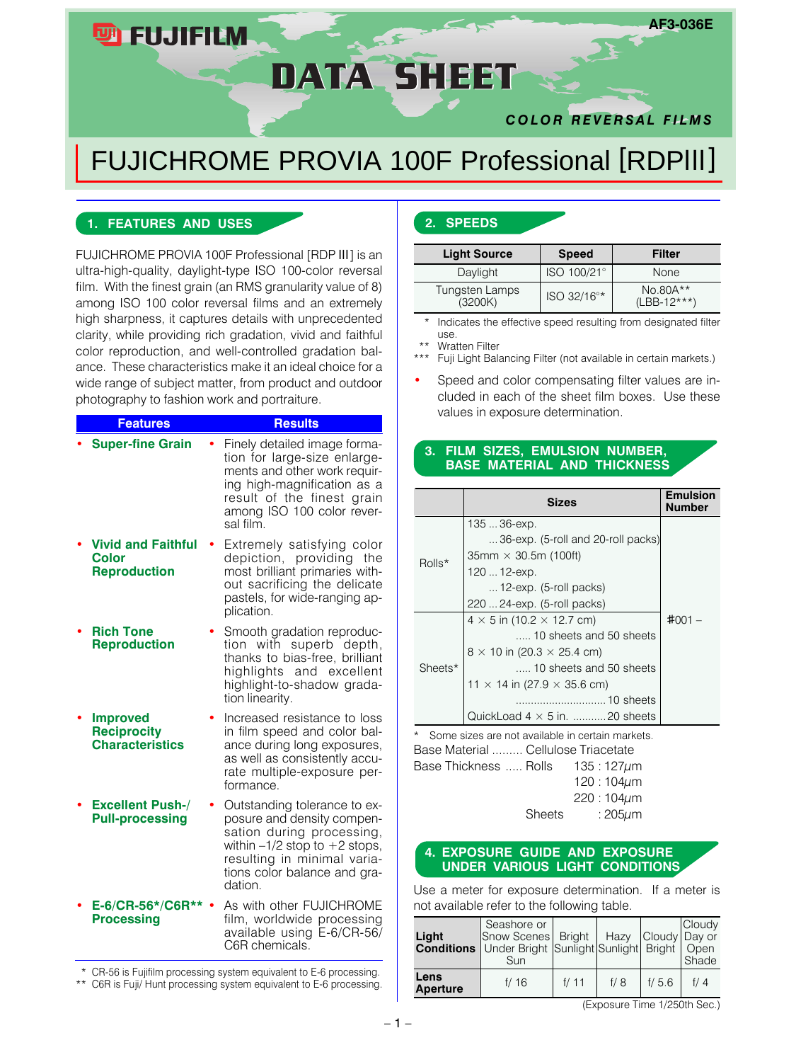# DATA SHEET

### *COLOR REVERSAL FILMS*

**AF3-036E**

## FUJICHROME PROVIA 100F Professional [RDPIII]

#### **1. FEATURES AND USES**

**四FUJIFILM** 

FUJICHROME PROVIA 100F Professional [RDP III] is an ultra-high-quality, daylight-type ISO 100-color reversal film. With the finest grain (an RMS granularity value of 8) among ISO 100 color reversal films and an extremely high sharpness, it captures details with unprecedented clarity, while providing rich gradation, vivid and faithful color reproduction, and well-controlled gradation balance. These characteristics make it an ideal choice for a wide range of subject matter, from product and outdoor photography to fashion work and portraiture.

| <b>Features</b>                                                  | <b>Results</b>                                                                                                                                                                                         |
|------------------------------------------------------------------|--------------------------------------------------------------------------------------------------------------------------------------------------------------------------------------------------------|
| <b>Super-fine Grain</b>                                          | Finely detailed image forma-<br>tion for large-size enlarge-<br>ments and other work requir-<br>ing high-magnification as a<br>result of the finest grain<br>among ISO 100 color rever-<br>sal film.   |
| <b>Vivid and Faithful</b><br><b>Color</b><br><b>Reproduction</b> | Extremely satisfying color<br>depiction,<br>providing<br>the<br>most brilliant primaries with-<br>out sacrificing the delicate<br>pastels, for wide-ranging ap-<br>plication.                          |
| <b>Rich Tone</b><br><b>Reproduction</b>                          | Smooth gradation reproduc-<br>tion with superb depth,<br>thanks to bias-free, brilliant<br>highlights and excellent<br>highlight-to-shadow grada-<br>tion linearity.                                   |
| <b>Improved</b><br><b>Reciprocity</b><br><b>Characteristics</b>  | Increased resistance to loss<br>in film speed and color bal-<br>ance during long exposures,<br>as well as consistently accu-<br>rate multiple-exposure per-<br>formance.                               |
| <b>Excellent Push-/</b><br><b>Pull-processing</b>                | Outstanding tolerance to ex-<br>posure and density compen-<br>sation during processing,<br>within $-1/2$ stop to $+2$ stops,<br>resulting in minimal varia-<br>tions color balance and gra-<br>dation. |
| E-6/CR-56*/C6R**<br><b>Processing</b>                            | As with other FUJICHROME<br>film, worldwide processing<br>available using E-6/CR-56/<br>C6R chemicals.                                                                                                 |

\* CR-56 is Fujifilm processing system equivalent to E-6 processing.

\*\* C6R is Fuji/ Hunt processing system equivalent to E-6 processing.

#### **2. SPEEDS**

| <b>Light Source</b>       | <b>Speed</b> | Filter                    |
|---------------------------|--------------|---------------------------|
| Daylight                  | ISO 100/21°  | None                      |
| Tungsten Lamps<br>(3200K) | ISO 32/16°*  | No.80A**<br>$(LBB-12***)$ |

Indicates the effective speed resulting from designated filter use.

Wratten Filter

Fuji Light Balancing Filter (not available in certain markets.)

Speed and color compensating filter values are included in each of the sheet film boxes. Use these values in exposure determination.

#### **3. FILM SIZES, EMULSION NUMBER, BASE MATERIAL AND THICKNESS**

|         | <b>Sizes</b>                              | <b>Emulsion</b><br><b>Number</b> |
|---------|-------------------------------------------|----------------------------------|
|         | 135  36-ехр.                              |                                  |
|         | 36-exp. (5-roll and 20-roll packs)        |                                  |
| Rolls*  | $35$ mm $\times$ 30.5m (100ft)            |                                  |
|         | 120  12-ехр.                              |                                  |
|         | $\ldots$ 12-exp. (5-roll packs)           |                                  |
|         | 220  24-exp. (5-roll packs)               |                                  |
|         | $4 \times 5$ in (10.2 $\times$ 12.7 cm)   | #001                             |
|         | 10 sheets and 50 sheets                   |                                  |
|         | $8 \times 10$ in (20.3 $\times$ 25.4 cm)  |                                  |
| Sheets* | 10 sheets and 50 sheets                   |                                  |
|         | 11 $\times$ 14 in (27.9 $\times$ 35.6 cm) |                                  |
|         | 10 sheets                                 |                                  |
|         | QuickLoad $4 \times 5$ in. 20 sheets      |                                  |

\* Some sizes are not available in certain markets. Base Material ......... Cellulose Triacetate Base Thickness ..... Rolls 135 : 127um 120 : 104µm  $220 : 104 \mu m$ Sheets : 205um

#### **4. EXPOSURE GUIDE AND EXPOSURE UNDER VARIOUS LIGHT CONDITIONS**

Use a meter for exposure determination. If a meter is not available refer to the following table.

| Light            | Seashore or<br>Snow Scenes Bright<br><b>Conditions</b> Under Bright Sunlight Sunlight Bright   Open<br>Sun |      |     | Hazy Cloudy Day or | Cloudy<br>Shade |
|------------------|------------------------------------------------------------------------------------------------------------|------|-----|--------------------|-----------------|
| Lens<br>Aperture | f/16                                                                                                       | f/11 | f/8 | f/5.6              | f/ $\Delta$     |

(Exposure Time 1/250th Sec.)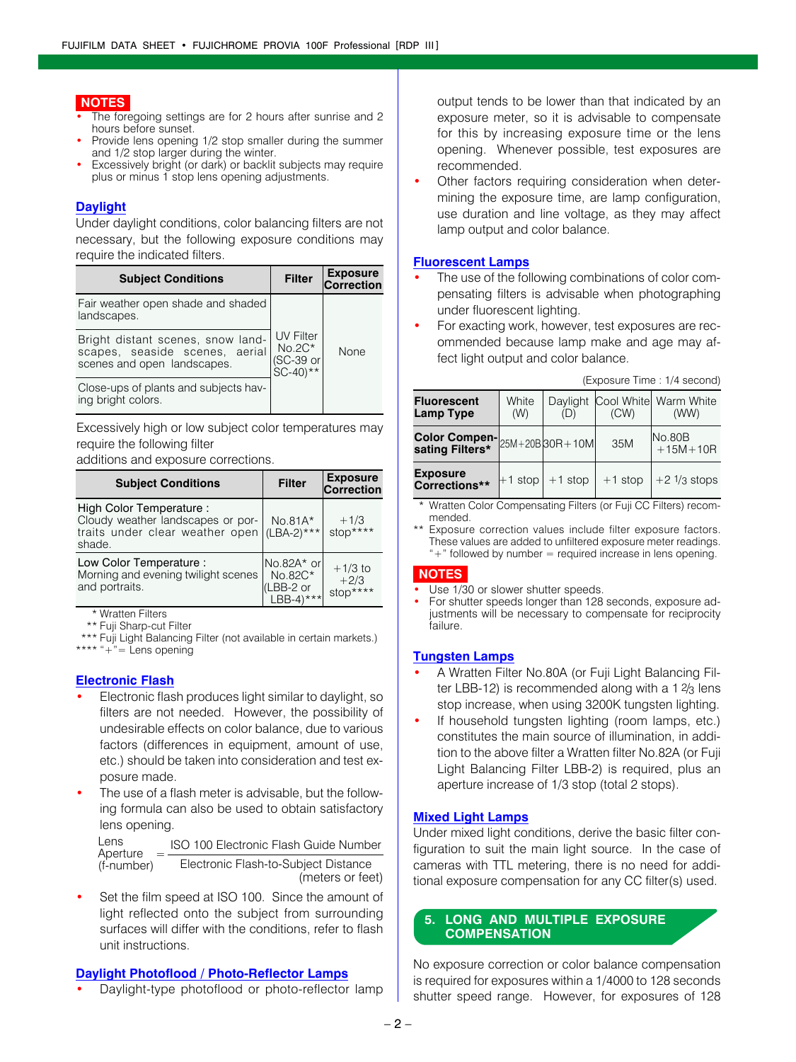#### **NOTES**

- The foregoing settings are for 2 hours after sunrise and 2 hours before sunset.
- Provide lens opening 1/2 stop smaller during the summer and 1/2 stop larger during the winter.
- Excessively bright (or dark) or backlit subjects may require plus or minus 1 stop lens opening adjustments.

#### **Daylight**

Under daylight conditions, color balancing filters are not necessary, but the following exposure conditions may require the indicated filters.

| <b>Subject Conditions</b>                                                                          | <b>Filter</b>                                         | <b>Exposure</b><br>Correction |
|----------------------------------------------------------------------------------------------------|-------------------------------------------------------|-------------------------------|
| Fair weather open shade and shaded<br>landscapes.                                                  |                                                       |                               |
| Bright distant scenes, snow land-<br>scapes, seaside scenes, aerial<br>scenes and open landscapes. | <b>UV Filter</b><br>$No.2C*$<br>(SC-39 or<br>SC-40)** | <b>None</b>                   |
| Close-ups of plants and subjects hav-<br>ing bright colors.                                        |                                                       |                               |

Excessively high or low subject color temperatures may require the following filter

additions and exposure corrections.

| <b>Subject Conditions</b>                                                                                 | <b>Filter</b>                                                  | <b>Exposure</b><br>Correction   |
|-----------------------------------------------------------------------------------------------------------|----------------------------------------------------------------|---------------------------------|
| High Color Temperature:<br>Cloudy weather landscapes or por-<br>traits under clear weather open<br>shade. | $No.81A*$<br>$(LBA-2)***$                                      | $+1/3$<br>stop****              |
| Low Color Temperature :<br>Morning and evening twilight scenes<br>and portraits.                          | INo.82A* orl<br>No.82C*<br>(LBB-2 or<br>$LBB-4$ <sup>***</sup> | $+1/3$ to<br>$+2/3$<br>stop**** |

\* Wratten Filters

\*\* Fuji Sharp-cut Filter

\*\*\* Fuji Light Balancing Filter (not available in certain markets.) \*\*\*\*  $*+$ <sup>n</sup>= Lens opening

#### **Electronic Flash**

- Electronic flash produces light similar to daylight, so filters are not needed. However, the possibility of undesirable effects on color balance, due to various factors (differences in equipment, amount of use, etc.) should be taken into consideration and test exposure made.
- The use of a flash meter is advisable, but the following formula can also be used to obtain satisfactory lens opening.

ISO 100 Electronic Flash Guide Number <sup>=</sup> Electronic Flash-to-Subject Distance (meters or feet) Lens Aperture (f-number)

Set the film speed at ISO 100. Since the amount of light reflected onto the subject from surrounding surfaces will differ with the conditions, refer to flash unit instructions.

#### **Daylight Photoflood / Photo-Reflector Lamps**

Daylight-type photoflood or photo-reflector lamp

output tends to be lower than that indicated by an exposure meter, so it is advisable to compensate for this by increasing exposure time or the lens opening. Whenever possible, test exposures are recommended.

Other factors requiring consideration when determining the exposure time, are lamp configuration, use duration and line voltage, as they may affect lamp output and color balance.

#### **Fluorescent Lamps**

- The use of the following combinations of color compensating filters is advisable when photographing under fluorescent lighting.
- For exacting work, however, test exposures are recommended because lamp make and age may affect light output and color balance.

| <b>Fluorescent</b><br><b>Lamp Type</b>                | White<br>(W) |                    | (CW)      | Daylight Cool White Warm White<br>(WW) |  |
|-------------------------------------------------------|--------------|--------------------|-----------|----------------------------------------|--|
| Color Compen- $_{25M+20B}$ 30R+10M<br>sating Filters* |              |                    | 35M       | No.80B<br>$+15M+10R$                   |  |
| <b>Exposure</b><br>Corrections**                      |              | l+1 stop   +1 stop | $+1$ stop | $+2 \frac{1}{3}$ stops                 |  |

(Exposure Time : 1/4 second)

\* Wratten Color Compensating Filters (or Fuji CC Filters) recommended.

\* Exposure correction values include filter exposure factors. These values are added to unfiltered exposure meter readings.  $*+$ " followed by number = required increase in lens opening.

#### **NOTES**

- Use 1/30 or slower shutter speeds.
- For shutter speeds longer than 128 seconds, exposure adjustments will be necessary to compensate for reciprocity failure.

#### **Tungsten Lamps**

- A Wratten Filter No.80A (or Fuji Light Balancing Filter LBB-12) is recommended along with a 1 $2/3$  lens stop increase, when using 3200K tungsten lighting.
- If household tungsten lighting (room lamps, etc.) constitutes the main source of illumination, in addition to the above filter a Wratten filter No.82A (or Fuji Light Balancing Filter LBB-2) is required, plus an aperture increase of 1/3 stop (total 2 stops).

#### **Mixed Light Lamps**

Under mixed light conditions, derive the basic filter configuration to suit the main light source. In the case of cameras with TTL metering, there is no need for additional exposure compensation for any CC filter(s) used.

#### **5. LONG AND MULTIPLE EXPOSURE COMPENSATION**

No exposure correction or color balance compensation is required for exposures within a 1/4000 to 128 seconds shutter speed range. However, for exposures of 128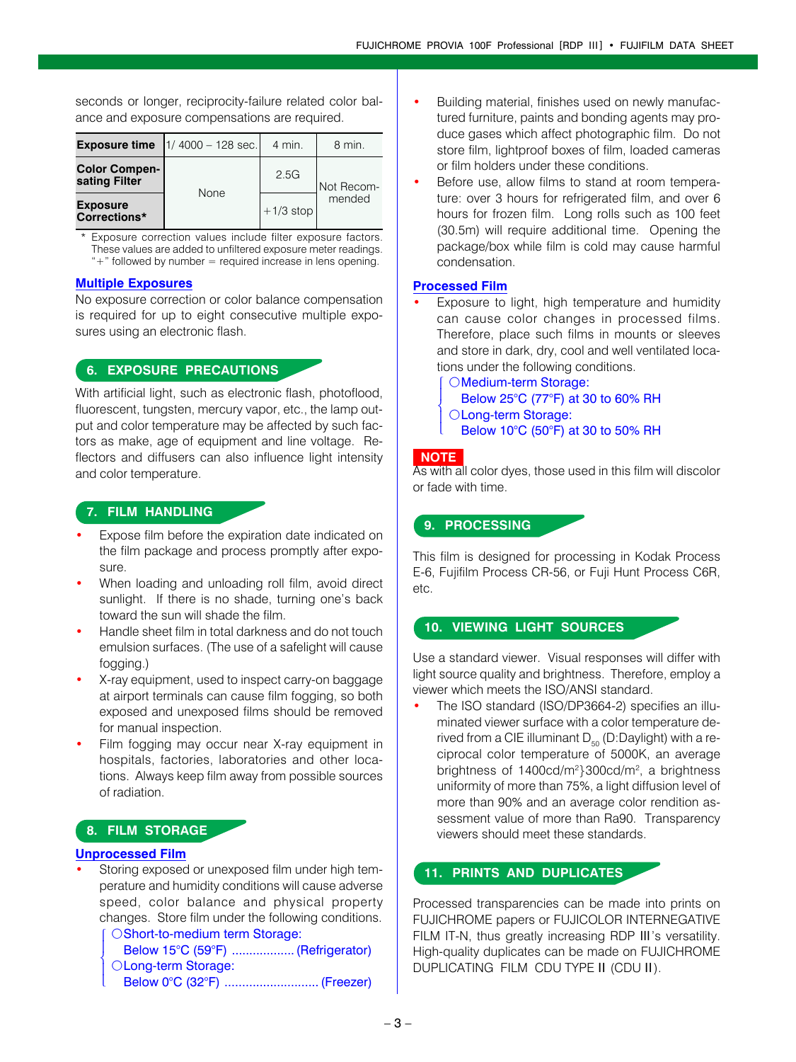seconds or longer, reciprocity-failure related color balance and exposure compensations are required.

|                                       | <b>Exposure time</b> $ 1/4000 - 128 \text{ sec.} $ | 4 min.      | 8 min.     |
|---------------------------------------|----------------------------------------------------|-------------|------------|
| <b>Color Compen-</b><br>sating Filter | None                                               | 2.5G        | Not Recom- |
| <b>Exposure</b><br>Corrections*       |                                                    | $+1/3$ stop | mended     |

\* Exposure correction values include filter exposure factors. These values are added to unfiltered exposure meter readings.  $*+$ " followed by number = required increase in lens opening.

#### **Multiple Exposures**

No exposure correction or color balance compensation is required for up to eight consecutive multiple exposures using an electronic flash.

#### **6. EXPOSURE PRECAUTIONS**

With artificial light, such as electronic flash, photoflood, fluorescent, tungsten, mercury vapor, etc., the lamp output and color temperature may be affected by such factors as make, age of equipment and line voltage. Reflectors and diffusers can also influence light intensity and color temperature.

#### **7. FILM HANDLING**

- Expose film before the expiration date indicated on the film package and process promptly after exposure.
- When loading and unloading roll film, avoid direct sunlight. If there is no shade, turning one's back toward the sun will shade the film.
- Handle sheet film in total darkness and do not touch emulsion surfaces. (The use of a safelight will cause fogging.)
- X-ray equipment, used to inspect carry-on baggage at airport terminals can cause film fogging, so both exposed and unexposed films should be removed for manual inspection.
- Film fogging may occur near X-ray equipment in hospitals, factories, laboratories and other locations. Always keep film away from possible sources of radiation.

#### **8. FILM STORAGE**

#### **Unprocessed Film**

 $\mathsf{l}$ ₹  $\mathsf{l}$  $\mathsf{I}$ 

Storing exposed or unexposed film under high temperature and humidity conditions will cause adverse speed, color balance and physical property changes. Store film under the following conditions. OShort-to-medium term Storage:  $\mathsf{l}$ 

Below 15°C (59°F) ..................(Refrigerator) OLong-term Storage: Below 0°C (32°F) ........................... (Freezer)

- Building material, finishes used on newly manufactured furniture, paints and bonding agents may produce gases which affect photographic film. Do not store film, lightproof boxes of film, loaded cameras or film holders under these conditions.
- Before use, allow films to stand at room temperature: over 3 hours for refrigerated film, and over 6 hours for frozen film. Long rolls such as 100 feet (30.5m) will require additional time. Opening the package/box while film is cold may cause harmful condensation.

#### **Processed Film**

- Exposure to light, high temperature and humidity can cause color changes in processed films. Therefore, place such films in mounts or sleeves and store in dark, dry, cool and well ventilated locations under the following conditions.
	- OMedium-term Storage: Below 25°C (77°F) at 30 to 60% RH OLong-term Storage: Below 10°C (50°F) at 30 to 50% RH  $\overline{\phantom{a}}$  $\overline{\phantom{a}}$ ₹  $\mathsf{l}$  $\mathsf{I}$

#### **NOTE**

As with all color dyes, those used in this film will discolor or fade with time.

#### **9. PROCESSING**

This film is designed for processing in Kodak Process E-6, Fujifilm Process CR-56, or Fuji Hunt Process C6R, etc.

#### **10. VIEWING LIGHT SOURCES**

Use a standard viewer. Visual responses will differ with light source quality and brightness. Therefore, employ a viewer which meets the ISO/ANSI standard.

The ISO standard (ISO/DP3664-2) specifies an illuminated viewer surface with a color temperature derived from a CIE illuminant  $D_{50}$  (D:Daylight) with a reciprocal color temperature of 5000K, an average brightness of 1400cd/m<sup>2</sup>}300cd/m<sup>2</sup>, a brightness uniformity of more than 75%, a light diffusion level of more than 90% and an average color rendition assessment value of more than Ra90. Transparency viewers should meet these standards.

#### **11. PRINTS AND DUPLICATES**

Processed transparencies can be made into prints on FUJICHROME papers or FUJICOLOR INTERNEGATIVE FILM IT-N, thus greatly increasing RDP  $III$ 's versatility. High-quality duplicates can be made on FUJICHROME DUPLICATING FILM CDU TYPE II (CDU II).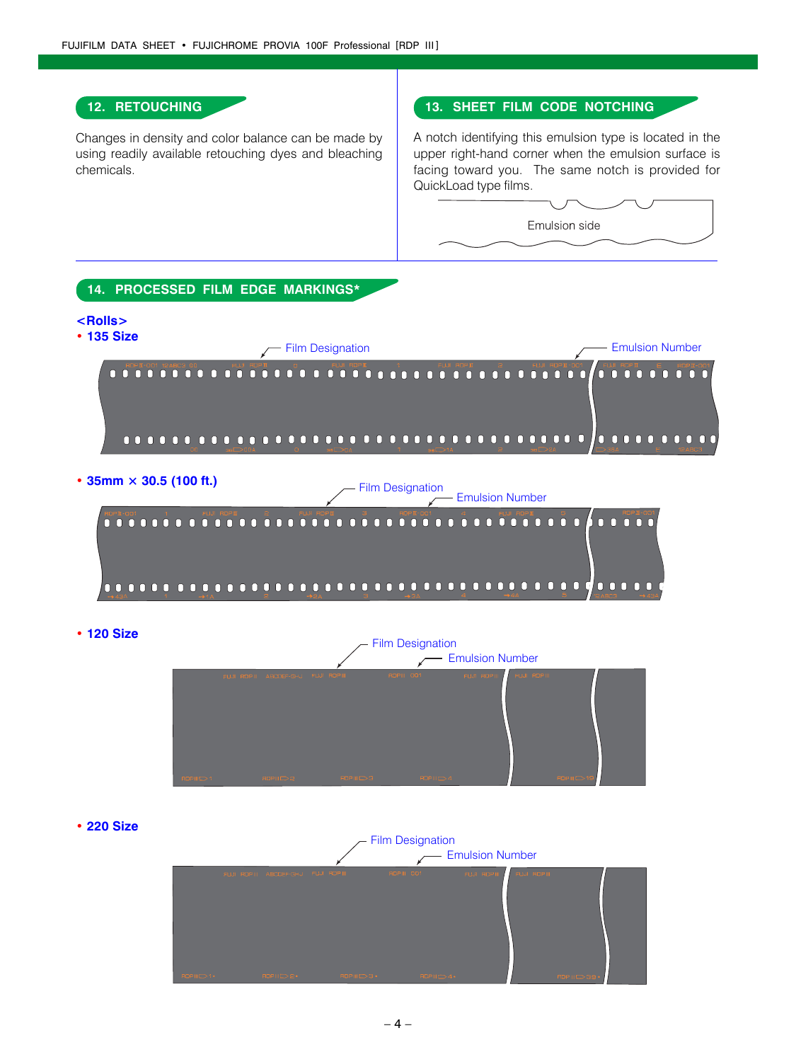#### **12. RETOUCHING**

Changes in density and color balance can be made by using readily available retouching dyes and bleaching chemicals.

#### **13. SHEET FILM CODE NOTCHING**

A notch identifying this emulsion type is located in the upper right-hand corner when the emulsion surface is facing toward you. The same notch is provided for QuickLoad type films.

Emulsion side



**ï 120 Size**



**ï 220 Size**

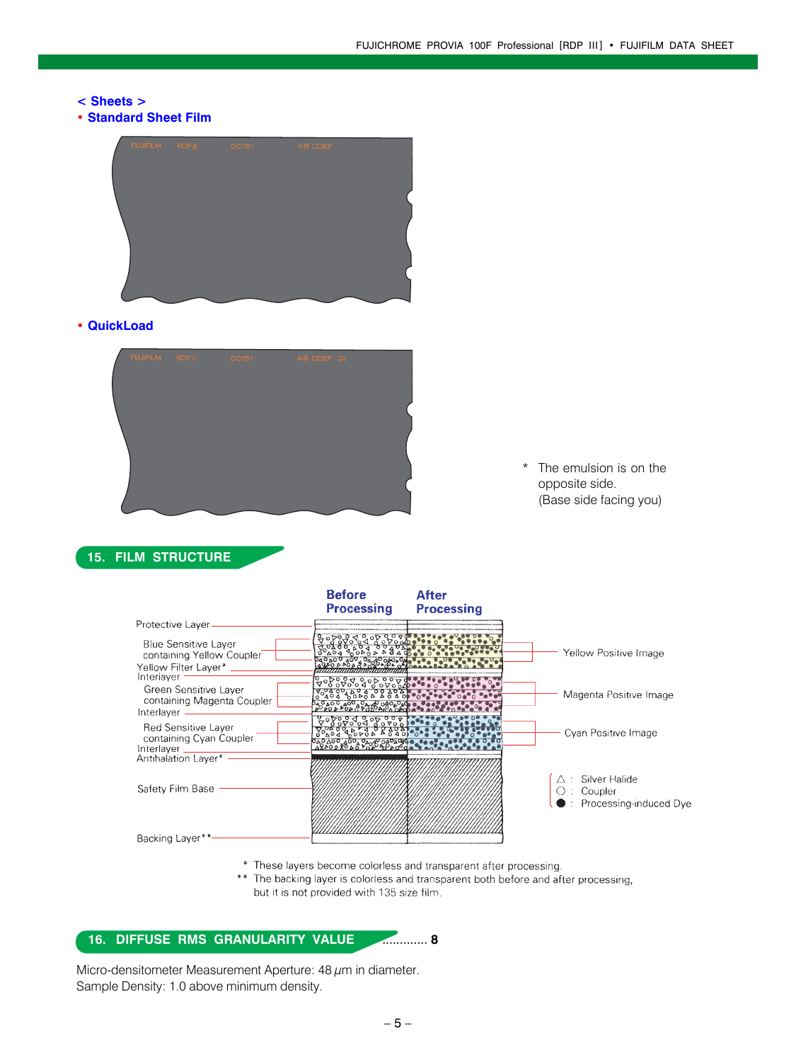#### **< Sheets >**

**ï Standard Sheet Film**



#### **ï QuickLoad**



\* The emulsion is on the opposite side. (Base side facing you)

#### **15. FILM STRUCTURE**

|                                                                                        | <b>Before</b><br><b>Processing</b>                    | <b>After</b><br><b>Processing</b> |                                                                                   |
|----------------------------------------------------------------------------------------|-------------------------------------------------------|-----------------------------------|-----------------------------------------------------------------------------------|
| Protective Layer-                                                                      |                                                       |                                   |                                                                                   |
| <b>Blue Sensitive Layer</b><br>containing Yellow Coupler<br>Yellow Filter Layer* _____ | 040 A00 400 0400 040 040 A0<br>1990 A POA 0 A00 ADA O |                                   | Yellow Positive Image                                                             |
| Interiayer<br>Green Sensitive Layer<br>containing Magenta Coupler<br>Interlayer        | <u> १२९६९ १९९९ पुरुष्ठ पुरुष</u>                      |                                   | Magenta Positive Image                                                            |
| Red Sensitive Layer<br>containing Cyan Coupler<br>Interlayer _________                 | <u> १९६६ २५ % १९४६</u><br>280200 300 0408 0404        |                                   | Cyan Positive Image                                                               |
| Antihalation Layer*<br>Safety Film Base                                                |                                                       |                                   | $\triangle$ : Silver Halide<br>Coupler<br>$\blacksquare$ : Processing-induced Dye |
| Backing Layer**                                                                        |                                                       |                                   |                                                                                   |

\* These layers become colorless and transparent after processing.

\*\* The backing layer is colorless and transparent both before and after processing, but it is not provided with 135 size film.

#### **16. DIFFUSE RMS GRANULARITY VALUE** ............. **8**

Micro-densitometer Measurement Aperture: 48  $\mu$ m in diameter. Sample Density: 1.0 above minimum density.